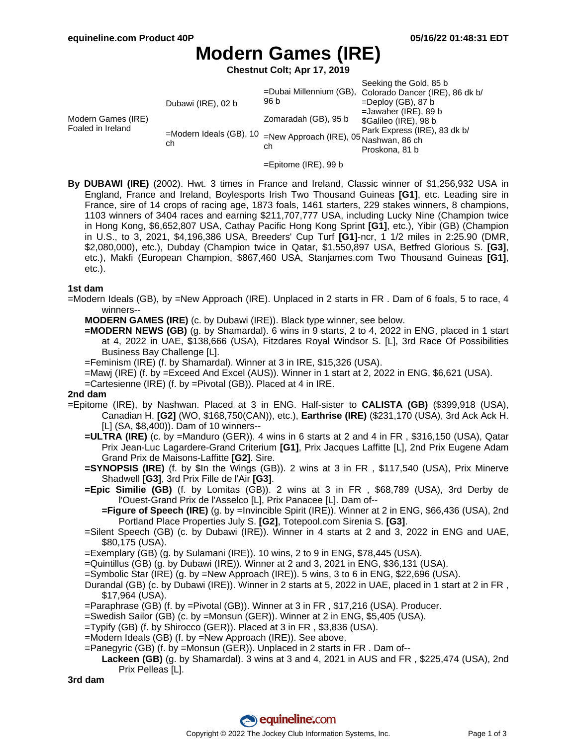# **Modern Games (IRE)**

**Chestnut Colt; Apr 17, 2019**

| Modern Games (IRE)<br>Foaled in Ireland | Dubawi (IRE), 02 b<br>$=$ Modern Ideals (GB), 10<br>ch | 96 b<br>Zomaradah (GB), 95 b<br>=New Approach (IRE), 05 Nashwan, 86 ch<br>ch | Seeking the Gold, 85 b<br>=Dubai Millennium (GB), Colorado Dancer (IRE), 86 dk b/<br>$=$ Deploy (GB), 87 b<br>$=$ Jawaher (IRE), 89 b<br>\$Galileo (IRE), 98 b<br>Park Express (IRE), 83 dk b/<br>Proskona, 81 b |
|-----------------------------------------|--------------------------------------------------------|------------------------------------------------------------------------------|------------------------------------------------------------------------------------------------------------------------------------------------------------------------------------------------------------------|
|                                         |                                                        |                                                                              |                                                                                                                                                                                                                  |

- =Epitome (IRE), 99 b
- **By DUBAWI (IRE)** (2002). Hwt. 3 times in France and Ireland, Classic winner of \$1,256,932 USA in England, France and Ireland, Boylesports Irish Two Thousand Guineas **[G1]**, etc. Leading sire in France, sire of 14 crops of racing age, 1873 foals, 1461 starters, 229 stakes winners, 8 champions, 1103 winners of 3404 races and earning \$211,707,777 USA, including Lucky Nine (Champion twice in Hong Kong, \$6,652,807 USA, Cathay Pacific Hong Kong Sprint **[G1]**, etc.), Yibir (GB) (Champion in U.S., to 3, 2021, \$4,196,386 USA, Breeders' Cup Turf **[G1]**-ncr, 1 1/2 miles in 2:25.90 (DMR, \$2,080,000), etc.), Dubday (Champion twice in Qatar, \$1,550,897 USA, Betfred Glorious S. **[G3]**, etc.), Makfi (European Champion, \$867,460 USA, Stanjames.com Two Thousand Guineas **[G1]**, etc.).

#### **1st dam**

=Modern Ideals (GB), by =New Approach (IRE). Unplaced in 2 starts in FR . Dam of 6 foals, 5 to race, 4 winners--

**MODERN GAMES (IRE)** (c. by Dubawi (IRE)). Black type winner, see below.

**=MODERN NEWS (GB)** (g. by Shamardal). 6 wins in 9 starts, 2 to 4, 2022 in ENG, placed in 1 start at 4, 2022 in UAE, \$138,666 (USA), Fitzdares Royal Windsor S. [L], 3rd Race Of Possibilities Business Bay Challenge [L].

=Feminism (IRE) (f. by Shamardal). Winner at 3 in IRE, \$15,326 (USA).

=Mawj (IRE) (f. by =Exceed And Excel (AUS)). Winner in 1 start at 2, 2022 in ENG, \$6,621 (USA).

=Cartesienne (IRE) (f. by =Pivotal (GB)). Placed at 4 in IRE.

#### **2nd dam**

- =Epitome (IRE), by Nashwan. Placed at 3 in ENG. Half-sister to **CALISTA (GB)** (\$399,918 (USA), Canadian H. **[G2]** (WO, \$168,750(CAN)), etc.), **Earthrise (IRE)** (\$231,170 (USA), 3rd Ack Ack H. [L] (SA, \$8,400)). Dam of 10 winners--
	- **=ULTRA (IRE)** (c. by =Manduro (GER)). 4 wins in 6 starts at 2 and 4 in FR , \$316,150 (USA), Qatar Prix Jean-Luc Lagardere-Grand Criterium **[G1]**, Prix Jacques Laffitte [L], 2nd Prix Eugene Adam Grand Prix de Maisons-Laffitte **[G2]**. Sire.
	- **=SYNOPSIS (IRE)** (f. by \$In the Wings (GB)). 2 wins at 3 in FR , \$117,540 (USA), Prix Minerve Shadwell **[G3]**, 3rd Prix Fille de l'Air **[G3]**.
	- **=Epic Similie (GB)** (f. by Lomitas (GB)). 2 wins at 3 in FR , \$68,789 (USA), 3rd Derby de l'Ouest-Grand Prix de l'Asselco [L], Prix Panacee [L]. Dam of--
		- **=Figure of Speech (IRE)** (g. by =Invincible Spirit (IRE)). Winner at 2 in ENG, \$66,436 (USA), 2nd Portland Place Properties July S. **[G2]**, Totepool.com Sirenia S. **[G3]**.
	- =Silent Speech (GB) (c. by Dubawi (IRE)). Winner in 4 starts at 2 and 3, 2022 in ENG and UAE, \$80,175 (USA).
	- =Exemplary (GB) (g. by Sulamani (IRE)). 10 wins, 2 to 9 in ENG, \$78,445 (USA).
	- =Quintillus (GB) (g. by Dubawi (IRE)). Winner at 2 and 3, 2021 in ENG, \$36,131 (USA).

=Symbolic Star (IRE) (g. by =New Approach (IRE)). 5 wins, 3 to 6 in ENG, \$22,696 (USA).

- Durandal (GB) (c. by Dubawi (IRE)). Winner in 2 starts at 5, 2022 in UAE, placed in 1 start at 2 in FR , \$17,964 (USA).
- =Paraphrase (GB) (f. by =Pivotal (GB)). Winner at 3 in FR , \$17,216 (USA). Producer.

=Swedish Sailor (GB) (c. by =Monsun (GER)). Winner at 2 in ENG, \$5,405 (USA).

- =Typify (GB) (f. by Shirocco (GER)). Placed at 3 in FR , \$3,836 (USA).
- =Modern Ideals (GB) (f. by =New Approach (IRE)). See above.
- =Panegyric (GB) (f. by =Monsun (GER)). Unplaced in 2 starts in FR . Dam of--
	- **Lackeen (GB)** (g. by Shamardal). 3 wins at 3 and 4, 2021 in AUS and FR , \$225,474 (USA), 2nd Prix Pelleas [L].

**3rd dam**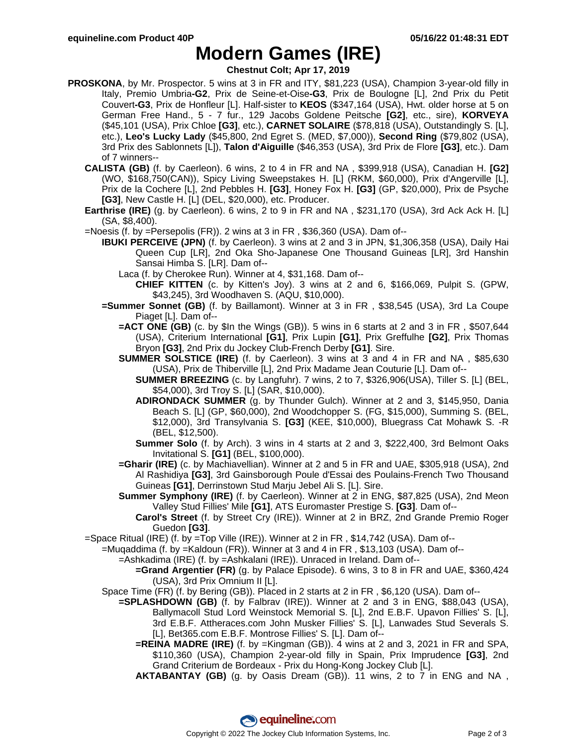## **Modern Games (IRE)**

**Chestnut Colt; Apr 17, 2019**

- **PROSKONA**, by Mr. Prospector. 5 wins at 3 in FR and ITY, \$81,223 (USA), Champion 3-year-old filly in Italy, Premio Umbria**-G2**, Prix de Seine-et-Oise**-G3**, Prix de Boulogne [L], 2nd Prix du Petit Couvert**-G3**, Prix de Honfleur [L]. Half-sister to **KEOS** (\$347,164 (USA), Hwt. older horse at 5 on German Free Hand., 5 - 7 fur., 129 Jacobs Goldene Peitsche **[G2]**, etc., sire), **KORVEYA** (\$45,101 (USA), Prix Chloe **[G3]**, etc.), **CARNET SOLAIRE** (\$78,818 (USA), Outstandingly S. [L], etc.), **Leo's Lucky Lady** (\$45,800, 2nd Egret S. (MED, \$7,000)), **Second Ring** (\$79,802 (USA), 3rd Prix des Sablonnets [L]), **Talon d'Aiguille** (\$46,353 (USA), 3rd Prix de Flore **[G3]**, etc.). Dam of 7 winners--
	- **CALISTA (GB)** (f. by Caerleon). 6 wins, 2 to 4 in FR and NA , \$399,918 (USA), Canadian H. **[G2]** (WO, \$168,750(CAN)), Spicy Living Sweepstakes H. [L] (RKM, \$60,000), Prix d'Angerville [L], Prix de la Cochere [L], 2nd Pebbles H. **[G3]**, Honey Fox H. **[G3]** (GP, \$20,000), Prix de Psyche **[G3]**, New Castle H. [L] (DEL, \$20,000), etc. Producer.
	- **Earthrise (IRE)** (g. by Caerleon). 6 wins, 2 to 9 in FR and NA , \$231,170 (USA), 3rd Ack Ack H. [L] (SA, \$8,400).
	- =Noesis (f. by =Persepolis (FR)). 2 wins at 3 in FR , \$36,360 (USA). Dam of--
		- **IBUKI PERCEIVE (JPN)** (f. by Caerleon). 3 wins at 2 and 3 in JPN, \$1,306,358 (USA), Daily Hai Queen Cup [LR], 2nd Oka Sho-Japanese One Thousand Guineas [LR], 3rd Hanshin Sansai Himba S. [LR]. Dam of--
			- Laca (f. by Cherokee Run). Winner at 4, \$31,168. Dam of--
				- **CHIEF KITTEN** (c. by Kitten's Joy). 3 wins at 2 and 6, \$166,069, Pulpit S. (GPW, \$43,245), 3rd Woodhaven S. (AQU, \$10,000).
		- **=Summer Sonnet (GB)** (f. by Baillamont). Winner at 3 in FR , \$38,545 (USA), 3rd La Coupe Piaget [L]. Dam of--
			- **=ACT ONE (GB)** (c. by \$In the Wings (GB)). 5 wins in 6 starts at 2 and 3 in FR , \$507,644 (USA), Criterium International **[G1]**, Prix Lupin **[G1]**, Prix Greffulhe **[G2]**, Prix Thomas Bryon **[G3]**, 2nd Prix du Jockey Club-French Derby **[G1]**. Sire.
			- **SUMMER SOLSTICE (IRE)** (f. by Caerleon). 3 wins at 3 and 4 in FR and NA , \$85,630 (USA), Prix de Thiberville [L], 2nd Prix Madame Jean Couturie [L]. Dam of--
				- **SUMMER BREEZING** (c. by Langfuhr). 7 wins, 2 to 7, \$326,906(USA), Tiller S. [L] (BEL, \$54,000), 3rd Troy S. [L] (SAR, \$10,000).
				- **ADIRONDACK SUMMER** (g. by Thunder Gulch). Winner at 2 and 3, \$145,950, Dania Beach S. [L] (GP, \$60,000), 2nd Woodchopper S. (FG, \$15,000), Summing S. (BEL, \$12,000), 3rd Transylvania S. **[G3]** (KEE, \$10,000), Bluegrass Cat Mohawk S. -R (BEL, \$12,500).
				- **Summer Solo** (f. by Arch). 3 wins in 4 starts at 2 and 3, \$222,400, 3rd Belmont Oaks Invitational S. **[G1]** (BEL, \$100,000).
			- **=Gharir (IRE)** (c. by Machiavellian). Winner at 2 and 5 in FR and UAE, \$305,918 (USA), 2nd Al Rashidiya **[G3]**, 3rd Gainsborough Poule d'Essai des Poulains-French Two Thousand Guineas **[G1]**, Derrinstown Stud Marju Jebel Ali S. [L]. Sire.
			- **Summer Symphony (IRE)** (f. by Caerleon). Winner at 2 in ENG, \$87,825 (USA), 2nd Meon Valley Stud Fillies' Mile **[G1]**, ATS Euromaster Prestige S. **[G3]**. Dam of--
				- **Carol's Street** (f. by Street Cry (IRE)). Winner at 2 in BRZ, 2nd Grande Premio Roger Guedon **[G3]**.
	- =Space Ritual (IRE) (f. by =Top Ville (IRE)). Winner at 2 in FR , \$14,742 (USA). Dam of--
		- =Muqaddima (f. by =Kaldoun (FR)). Winner at 3 and 4 in FR , \$13,103 (USA). Dam of--
			- =Ashkadima (IRE) (f. by =Ashkalani (IRE)). Unraced in Ireland. Dam of--
				- **=Grand Argentier (FR)** (g. by Palace Episode). 6 wins, 3 to 8 in FR and UAE, \$360,424 (USA), 3rd Prix Omnium II [L].
			- Space Time (FR) (f. by Bering (GB)). Placed in 2 starts at 2 in FR , \$6,120 (USA). Dam of--
				- **=SPLASHDOWN (GB)** (f. by Falbrav (IRE)). Winner at 2 and 3 in ENG, \$88,043 (USA), Ballymacoll Stud Lord Weinstock Memorial S. [L], 2nd E.B.F. Upavon Fillies' S. [L], 3rd E.B.F. Attheraces.com John Musker Fillies' S. [L], Lanwades Stud Severals S. [L], Bet365.com E.B.F. Montrose Fillies' S. [L]. Dam of--
					- **=REINA MADRE (IRE)** (f. by =Kingman (GB)). 4 wins at 2 and 3, 2021 in FR and SPA, \$110,360 (USA), Champion 2-year-old filly in Spain, Prix Imprudence **[G3]**, 2nd Grand Criterium de Bordeaux - Prix du Hong-Kong Jockey Club [L].
					- **AKTABANTAY (GB)** (g. by Oasis Dream (GB)). 11 wins, 2 to 7 in ENG and NA ,